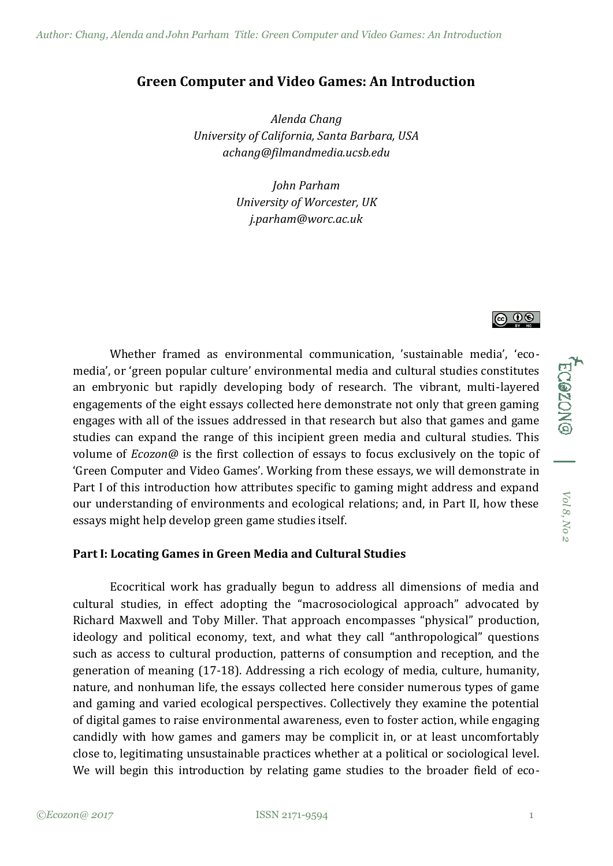# **Green Computer and Video Games: An Introduction**

*Alenda Chang University of California, Santa Barbara, USA achang@filmandmedia.ucsb.edu*

> *John Parham University of Worcester, UK j.parham@worc.ac.uk*

Whether framed as environmental communication, 'sustainable media', 'ecomedia', or 'green popular culture' environmental media and cultural studies constitutes an embryonic but rapidly developing body of research. The vibrant, multi-layered engagements of the eight essays collected here demonstrate not only that green gaming engages with all of the issues addressed in that research but also that games and game studies can expand the range of this incipient green media and cultural studies. This volume of *Ecozon@* is the first collection of essays to focus exclusively on the topic of 'Green Computer and Video Games'. Working from these essays, we will demonstrate in Part I of this introduction how attributes specific to gaming might address and expand our understanding of environments and ecological relations; and, in Part II, how these essays might help develop green game studies itself.

#### **Part I: Locating Games in Green Media and Cultural Studies**

Ecocritical work has gradually begun to address all dimensions of media and cultural studies, in effect adopting the "macrosociological approach" advocated by Richard Maxwell and Toby Miller. That approach encompasses "physical" production, ideology and political economy, text, and what they call "anthropological" questions such as access to cultural production, patterns of consumption and reception, and the generation of meaning (17-18). Addressing a rich ecology of media, culture, humanity, nature, and nonhuman life, the essays collected here consider numerous types of game and gaming and varied ecological perspectives. Collectively they examine the potential of digital games to raise environmental awareness, even to foster action, while engaging candidly with how games and gamers may be complicit in, or at least uncomfortably close to, legitimating unsustainable practices whether at a political or sociological level. We will begin this introduction by relating game studies to the broader field of ecoECOZONG | Vol 8, No 2 *Vol 8, No 2*

<u>ெ ெ ெ</u>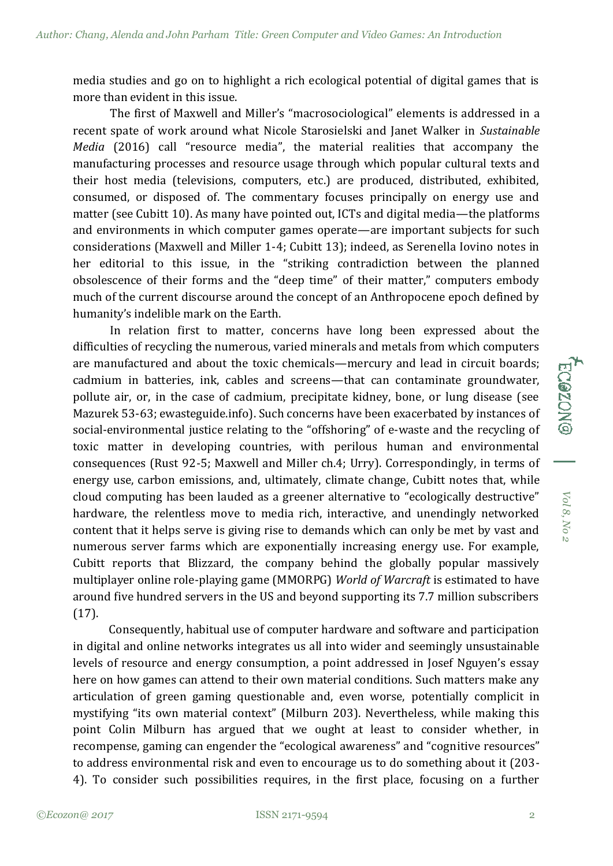media studies and go on to highlight a rich ecological potential of digital games that is more than evident in this issue.

The first of Maxwell and Miller's "macrosociological" elements is addressed in a recent spate of work around what Nicole Starosielski and Janet Walker in *Sustainable Media* (2016) call "resource media", the material realities that accompany the manufacturing processes and resource usage through which popular cultural texts and their host media (televisions, computers, etc.) are produced, distributed, exhibited, consumed, or disposed of. The commentary focuses principally on energy use and matter (see Cubitt 10). As many have pointed out, ICTs and digital media—the platforms and environments in which computer games operate—are important subjects for such considerations (Maxwell and Miller 1-4; Cubitt 13); indeed, as Serenella Iovino notes in her editorial to this issue, in the "striking contradiction between the planned obsolescence of their forms and the "deep time" of their matter," computers embody much of the current discourse around the concept of an Anthropocene epoch defined by humanity's indelible mark on the Earth.

In relation first to matter, concerns have long been expressed about the difficulties of recycling the numerous, varied minerals and metals from which computers are manufactured and about the toxic chemicals—mercury and lead in circuit boards; cadmium in batteries, ink, cables and screens—that can contaminate groundwater, pollute air, or, in the case of cadmium, precipitate kidney, bone, or lung disease (see Mazurek 53-63; ewasteguide.info). Such concerns have been exacerbated by instances of social-environmental justice relating to the "offshoring" of e-waste and the recycling of toxic matter in developing countries, with perilous human and environmental consequences (Rust 92-5; Maxwell and Miller ch.4; Urry). Correspondingly, in terms of energy use, carbon emissions, and, ultimately, climate change, Cubitt notes that, while cloud computing has been lauded as a greener alternative to "ecologically destructive" hardware, the relentless move to media rich, interactive, and unendingly networked content that it helps serve is giving rise to demands which can only be met by vast and numerous server farms which are exponentially increasing energy use. For example, Cubitt reports that Blizzard, the company behind the globally popular massively multiplayer online role-playing game (MMORPG) *World of Warcraft* is estimated to have around five hundred servers in the US and beyond supporting its 7.7 million subscribers (17).

Consequently, habitual use of computer hardware and software and participation in digital and online networks integrates us all into wider and seemingly unsustainable levels of resource and energy consumption, a point addressed in Josef Nguyen's essay here on how games can attend to their own material conditions. Such matters make any articulation of green gaming questionable and, even worse, potentially complicit in mystifying "its own material context" (Milburn 203). Nevertheless, while making this point Colin Milburn has argued that we ought at least to consider whether, in recompense, gaming can engender the "ecological awareness" and "cognitive resources" to address environmental risk and even to encourage us to do something about it (203- 4). To consider such possibilities requires, in the first place, focusing on a further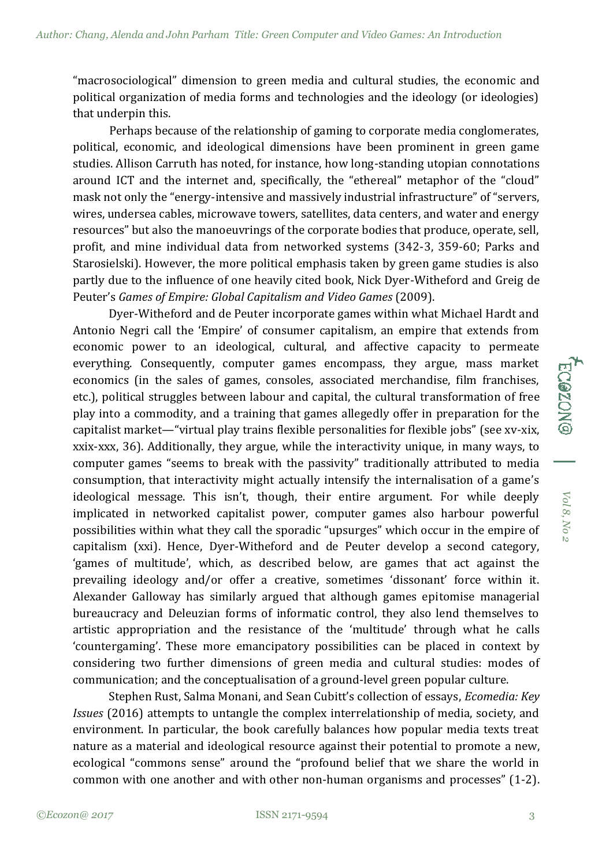"macrosociological" dimension to green media and cultural studies, the economic and political organization of media forms and technologies and the ideology (or ideologies) that underpin this.

 Perhaps because of the relationship of gaming to corporate media conglomerates, political, economic, and ideological dimensions have been prominent in green game studies. Allison Carruth has noted, for instance, how long-standing utopian connotations around ICT and the internet and, specifically, the "ethereal" metaphor of the "cloud" mask not only the "energy-intensive and massively industrial infrastructure" of "servers, wires, undersea cables, microwave towers, satellites, data centers, and water and energy resources" but also the manoeuvrings of the corporate bodies that produce, operate, sell, profit, and mine individual data from networked systems (342-3, 359-60; Parks and Starosielski). However, the more political emphasis taken by green game studies is also partly due to the influence of one heavily cited book, Nick Dyer-Witheford and Greig de Peuter's *Games of Empire: Global Capitalism and Video Games* (2009).

Dyer-Witheford and de Peuter incorporate games within what Michael Hardt and Antonio Negri call the 'Empire' of consumer capitalism, an empire that extends from economic power to an ideological, cultural, and affective capacity to permeate everything. Consequently, computer games encompass, they argue, mass market economics (in the sales of games, consoles, associated merchandise, film franchises, etc.), political struggles between labour and capital, the cultural transformation of free play into a commodity, and a training that games allegedly offer in preparation for the capitalist market—"virtual play trains flexible personalities for flexible jobs" (see xv-xix, xxix-xxx, 36). Additionally, they argue, while the interactivity unique, in many ways, to computer games "seems to break with the passivity" traditionally attributed to media consumption, that interactivity might actually intensify the internalisation of a game's ideological message. This isn't, though, their entire argument. For while deeply implicated in networked capitalist power, computer games also harbour powerful possibilities within what they call the sporadic "upsurges" which occur in the empire of capitalism (xxi). Hence, Dyer-Witheford and de Peuter develop a second category, 'games of multitude', which, as described below, are games that act against the prevailing ideology and/or offer a creative, sometimes 'dissonant' force within it. Alexander Galloway has similarly argued that although games epitomise managerial bureaucracy and Deleuzian forms of informatic control, they also lend themselves to artistic appropriation and the resistance of the 'multitude' through what he calls 'countergaming'. These more emancipatory possibilities can be placed in context by considering two further dimensions of green media and cultural studies: modes of communication; and the conceptualisation of a ground-level green popular culture.

Stephen Rust, Salma Monani, and Sean Cubitt's collection of essays, *Ecomedia: Key Issues* (2016) attempts to untangle the complex interrelationship of media, society, and environment. In particular, the book carefully balances how popular media texts treat nature as a material and ideological resource against their potential to promote a new, ecological "commons sense" around the "profound belief that we share the world in common with one another and with other non-human organisms and processes" (1-2).

*Vol 8, No 2*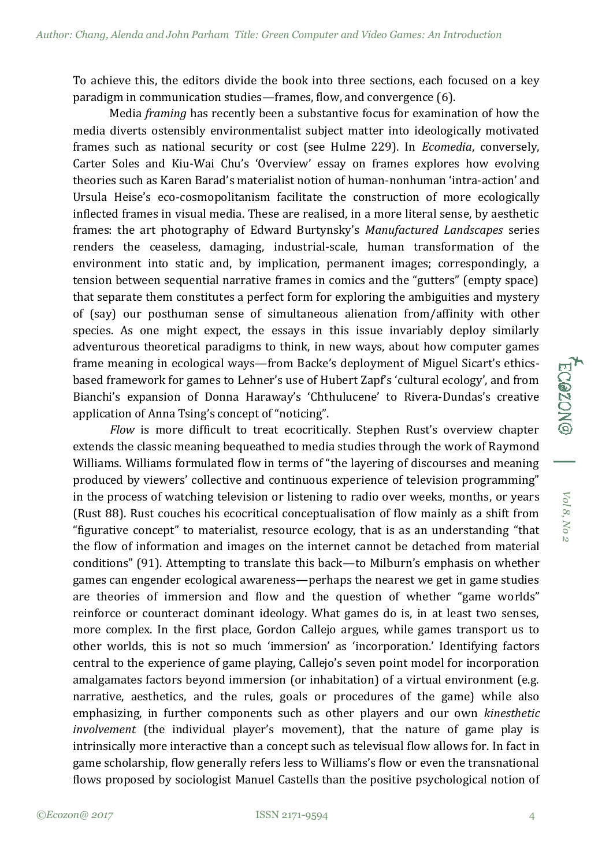To achieve this, the editors divide the book into three sections, each focused on a key paradigm in communication studies—frames, flow, and convergence (6).

 Media *framing* has recently been a substantive focus for examination of how the media diverts ostensibly environmentalist subject matter into ideologically motivated frames such as national security or cost (see Hulme 229). In *Ecomedia*, conversely, Carter Soles and Kiu-Wai Chu's 'Overview' essay on frames explores how evolving theories such as Karen Barad's materialist notion of human-nonhuman 'intra-action' and Ursula Heise's eco-cosmopolitanism facilitate the construction of more ecologically inflected frames in visual media. These are realised, in a more literal sense, by aesthetic frames: the art photography of Edward Burtynsky's *Manufactured Landscapes* series renders the ceaseless, damaging, industrial-scale, human transformation of the environment into static and, by implication, permanent images; correspondingly, a tension between sequential narrative frames in comics and the "gutters" (empty space) that separate them constitutes a perfect form for exploring the ambiguities and mystery of (say) our posthuman sense of simultaneous alienation from/affinity with other species. As one might expect, the essays in this issue invariably deploy similarly adventurous theoretical paradigms to think, in new ways, about how computer games frame meaning in ecological ways—from Backe's deployment of Miguel Sicart's ethicsbased framework for games to Lehner's use of Hubert Zapf's 'cultural ecology', and from Bianchi's expansion of Donna Haraway's 'Chthulucene' to Rivera-Dundas's creative application of Anna Tsing's concept of "noticing".

*Flow* is more difficult to treat ecocritically. Stephen Rust's overview chapter extends the classic meaning bequeathed to media studies through the work of Raymond Williams. Williams formulated flow in terms of "the layering of discourses and meaning produced by viewers' collective and continuous experience of television programming" in the process of watching television or listening to radio over weeks, months, or years (Rust 88). Rust couches his ecocritical conceptualisation of flow mainly as a shift from "figurative concept" to materialist, resource ecology, that is as an understanding "that the flow of information and images on the internet cannot be detached from material conditions" (91). Attempting to translate this back—to Milburn's emphasis on whether games can engender ecological awareness—perhaps the nearest we get in game studies are theories of immersion and flow and the question of whether "game worlds" reinforce or counteract dominant ideology. What games do is, in at least two senses, more complex. In the first place, Gordon Callejo argues, while games transport us to other worlds, this is not so much 'immersion' as 'incorporation.' Identifying factors central to the experience of game playing, Callejo's seven point model for incorporation amalgamates factors beyond immersion (or inhabitation) of a virtual environment (e.g. narrative, aesthetics, and the rules, goals or procedures of the game) while also emphasizing, in further components such as other players and our own *kinesthetic involvement* (the individual player's movement), that the nature of game play is intrinsically more interactive than a concept such as televisual flow allows for. In fact in game scholarship, flow generally refers less to Williams's flow or even the transnational flows proposed by sociologist Manuel Castells than the positive psychological notion of

*Vol 8, No 2*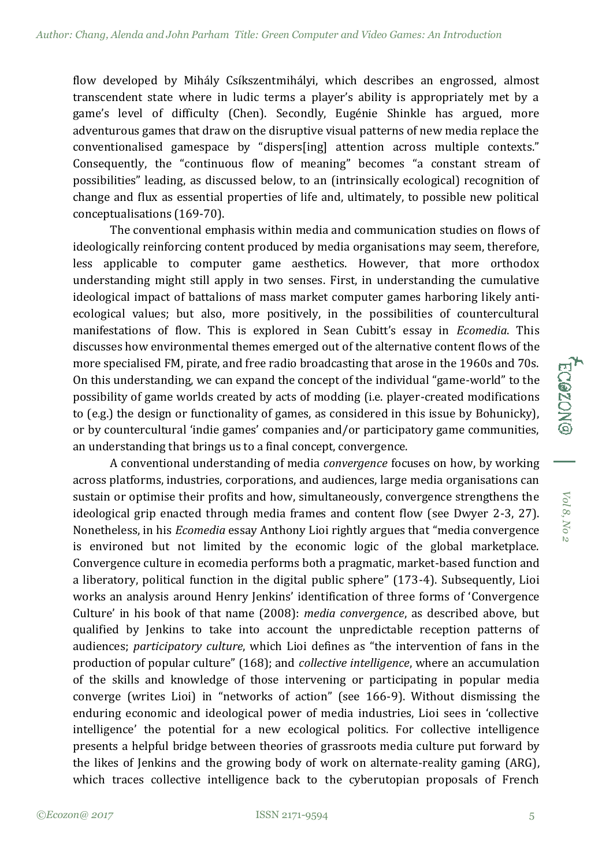flow developed by Mihály Csíkszentmihályi, which describes an engrossed, almost transcendent state where in ludic terms a player's ability is appropriately met by a game's level of difficulty (Chen). Secondly, Eugénie Shinkle has argued, more adventurous games that draw on the disruptive visual patterns of new media replace the conventionalised gamespace by "dispers[ing] attention across multiple contexts." Consequently, the "continuous flow of meaning" becomes "a constant stream of possibilities" leading, as discussed below, to an (intrinsically ecological) recognition of change and flux as essential properties of life and, ultimately, to possible new political conceptualisations (169-70).

The conventional emphasis within media and communication studies on flows of ideologically reinforcing content produced by media organisations may seem, therefore, less applicable to computer game aesthetics. However, that more orthodox understanding might still apply in two senses. First, in understanding the cumulative ideological impact of battalions of mass market computer games harboring likely antiecological values; but also, more positively, in the possibilities of countercultural manifestations of flow. This is explored in Sean Cubitt's essay in *Ecomedia*. This discusses how environmental themes emerged out of the alternative content flows of the more specialised FM, pirate, and free radio broadcasting that arose in the 1960s and 70s. On this understanding, we can expand the concept of the individual "game-world" to the possibility of game worlds created by acts of modding (i.e. player-created modifications to (e.g.) the design or functionality of games, as considered in this issue by Bohunicky), or by countercultural 'indie games' companies and/or participatory game communities, an understanding that brings us to a final concept, convergence.

A conventional understanding of media *convergence* focuses on how, by working across platforms, industries, corporations, and audiences, large media organisations can sustain or optimise their profits and how, simultaneously, convergence strengthens the ideological grip enacted through media frames and content flow (see Dwyer 2-3, 27). Nonetheless, in his *Ecomedia* essay Anthony Lioi rightly argues that "media convergence is environed but not limited by the economic logic of the global marketplace. Convergence culture in ecomedia performs both a pragmatic, market-based function and a liberatory, political function in the digital public sphere" (173-4). Subsequently, Lioi works an analysis around Henry Jenkins' identification of three forms of 'Convergence Culture' in his book of that name (2008): *media convergence*, as described above, but qualified by Jenkins to take into account the unpredictable reception patterns of audiences; *participatory culture*, which Lioi defines as "the intervention of fans in the production of popular culture" (168); and *collective intelligence*, where an accumulation of the skills and knowledge of those intervening or participating in popular media converge (writes Lioi) in "networks of action" (see 166-9). Without dismissing the enduring economic and ideological power of media industries, Lioi sees in 'collective intelligence' the potential for a new ecological politics. For collective intelligence presents a helpful bridge between theories of grassroots media culture put forward by the likes of Jenkins and the growing body of work on alternate-reality gaming (ARG), which traces collective intelligence back to the cyberutopian proposals of French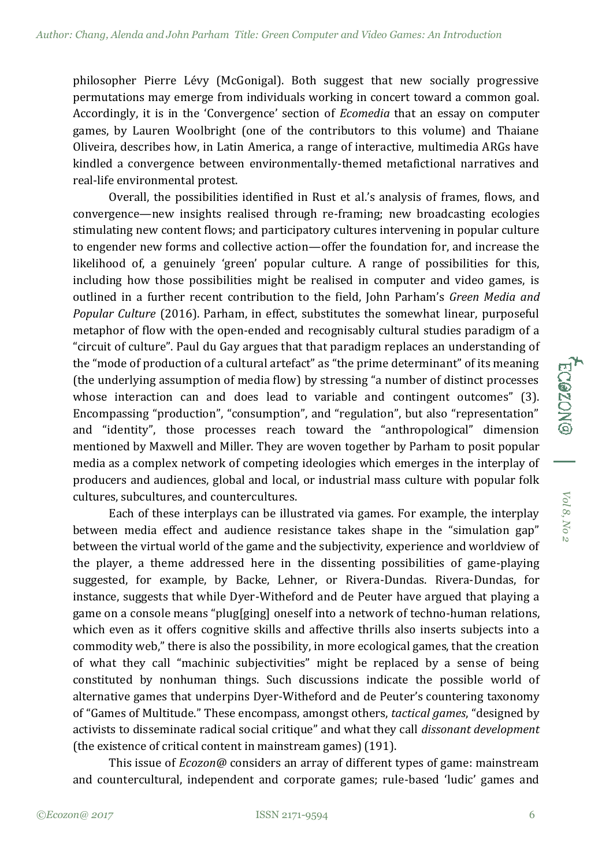philosopher Pierre Lévy (McGonigal). Both suggest that new socially progressive permutations may emerge from individuals working in concert toward a common goal. Accordingly, it is in the 'Convergence' section of *Ecomedia* that an essay on computer games, by Lauren Woolbright (one of the contributors to this volume) and Thaiane Oliveira, describes how, in Latin America, a range of interactive, multimedia ARGs have kindled a convergence between environmentally-themed metafictional narratives and real-life environmental protest.

Overall, the possibilities identified in Rust et al.'s analysis of frames, flows, and convergence—new insights realised through re-framing; new broadcasting ecologies stimulating new content flows; and participatory cultures intervening in popular culture to engender new forms and collective action—offer the foundation for, and increase the likelihood of, a genuinely 'green' popular culture. A range of possibilities for this, including how those possibilities might be realised in computer and video games, is outlined in a further recent contribution to the field, John Parham's *Green Media and Popular Culture* (2016). Parham, in effect, substitutes the somewhat linear, purposeful metaphor of flow with the open-ended and recognisably cultural studies paradigm of a "circuit of culture". Paul du Gay argues that that paradigm replaces an understanding of the "mode of production of a cultural artefact" as "the prime determinant" of its meaning (the underlying assumption of media flow) by stressing "a number of distinct processes whose interaction can and does lead to variable and contingent outcomes" (3). Encompassing "production", "consumption", and "regulation", but also "representation" and "identity", those processes reach toward the "anthropological" dimension mentioned by Maxwell and Miller. They are woven together by Parham to posit popular media as a complex network of competing ideologies which emerges in the interplay of producers and audiences, global and local, or industrial mass culture with popular folk cultures, subcultures, and countercultures.

Each of these interplays can be illustrated via games. For example, the interplay between media effect and audience resistance takes shape in the "simulation gap" between the virtual world of the game and the subjectivity, experience and worldview of the player, a theme addressed here in the dissenting possibilities of game-playing suggested, for example, by Backe, Lehner, or Rivera-Dundas. Rivera-Dundas, for instance, suggests that while Dyer-Witheford and de Peuter have argued that playing a game on a console means "plug[ging] oneself into a network of techno-human relations, which even as it offers cognitive skills and affective thrills also inserts subjects into a commodity web," there is also the possibility, in more ecological games, that the creation of what they call "machinic subjectivities" might be replaced by a sense of being constituted by nonhuman things. Such discussions indicate the possible world of alternative games that underpins Dyer-Witheford and de Peuter's countering taxonomy of "Games of Multitude." These encompass, amongst others, *tactical games*, "designed by activists to disseminate radical social critique" and what they call *dissonant development* (the existence of critical content in mainstream games) (191).

This issue of *Ecozon@* considers an array of different types of game: mainstream and countercultural, independent and corporate games; rule-based 'ludic' games and *Vol 8, No 2*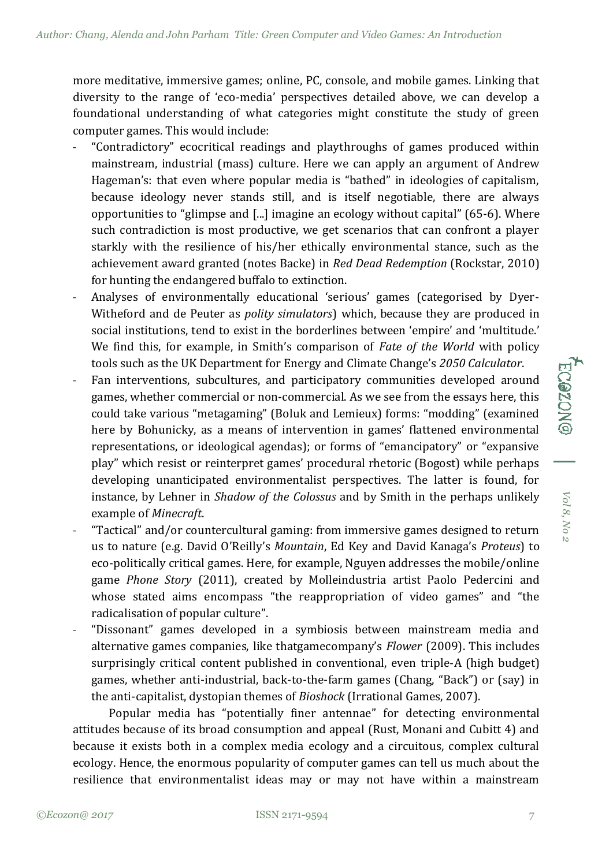more meditative, immersive games; online, PC, console, and mobile games. Linking that diversity to the range of 'eco-media' perspectives detailed above, we can develop a foundational understanding of what categories might constitute the study of green computer games. This would include:

- ˗ "Contradictory" ecocritical readings and playthroughs of games produced within mainstream, industrial (mass) culture. Here we can apply an argument of Andrew Hageman's: that even where popular media is "bathed" in ideologies of capitalism, because ideology never stands still, and is itself negotiable, there are always opportunities to "glimpse and [...] imagine an ecology without capital" (65-6). Where such contradiction is most productive, we get scenarios that can confront a player starkly with the resilience of his/her ethically environmental stance, such as the achievement award granted (notes Backe) in *Red Dead Redemption* (Rockstar, 2010) for hunting the endangered buffalo to extinction.
- ˗ Analyses of environmentally educational 'serious' games (categorised by Dyer-Witheford and de Peuter as *polity simulators*) which, because they are produced in social institutions, tend to exist in the borderlines between 'empire' and 'multitude.' We find this, for example, in Smith's comparison of *Fate of the World* with policy tools such as the UK Department for Energy and Climate Change's *2050 Calculator*.
- Fan interventions, subcultures, and participatory communities developed around games, whether commercial or non-commercial. As we see from the essays here, this could take various "metagaming" (Boluk and Lemieux) forms: "modding" (examined here by Bohunicky, as a means of intervention in games' flattened environmental representations, or ideological agendas); or forms of "emancipatory" or "expansive play" which resist or reinterpret games' procedural rhetoric (Bogost) while perhaps developing unanticipated environmentalist perspectives. The latter is found, for instance, by Lehner in *Shadow of the Colossus* and by Smith in the perhaps unlikely example of *Minecraft*.
- ˗ "Tactical" and/or countercultural gaming: from immersive games designed to return us to nature (e.g. David O'Reilly's *Mountain*, Ed Key and David Kanaga's *Proteus*) to eco-politically critical games. Here, for example, Nguyen addresses the mobile/online game *Phone Story* (2011), created by Molleindustria artist Paolo Pedercini and whose stated aims encompass "the reappropriation of video games" and "the radicalisation of popular culture".
- ˗ "Dissonant" games developed in a symbiosis between mainstream media and alternative games companies, like thatgamecompany's *Flower* (2009). This includes surprisingly critical content published in conventional, even triple-A (high budget) games, whether anti-industrial, back-to-the-farm games (Chang, "Back") or (say) in the anti-capitalist, dystopian themes of *Bioshock* (Irrational Games, 2007).

Popular media has "potentially finer antennae" for detecting environmental attitudes because of its broad consumption and appeal (Rust, Monani and Cubitt 4) and because it exists both in a complex media ecology and a circuitous, complex cultural ecology. Hence, the enormous popularity of computer games can tell us much about the resilience that environmentalist ideas may or may not have within a mainstream

*Vol 8, No 2*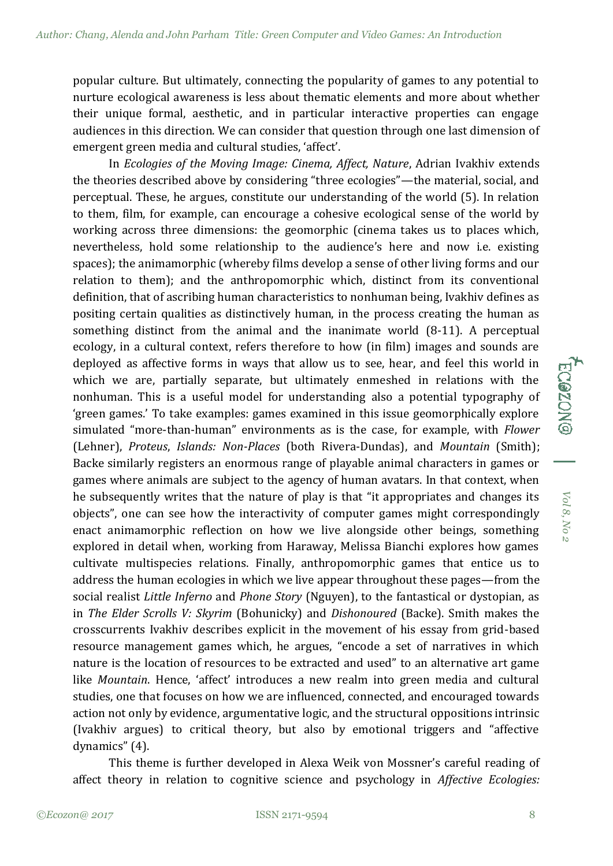popular culture. But ultimately, connecting the popularity of games to any potential to nurture ecological awareness is less about thematic elements and more about whether their unique formal, aesthetic, and in particular interactive properties can engage audiences in this direction. We can consider that question through one last dimension of emergent green media and cultural studies, 'affect'.

In *Ecologies of the Moving Image: Cinema, Affect, Nature*, Adrian Ivakhiv extends the theories described above by considering "three ecologies"—the material, social, and perceptual. These, he argues, constitute our understanding of the world (5). In relation to them, film, for example, can encourage a cohesive ecological sense of the world by working across three dimensions: the geomorphic (cinema takes us to places which, nevertheless, hold some relationship to the audience's here and now i.e. existing spaces); the animamorphic (whereby films develop a sense of other living forms and our relation to them); and the anthropomorphic which, distinct from its conventional definition, that of ascribing human characteristics to nonhuman being, Ivakhiv defines as positing certain qualities as distinctively human, in the process creating the human as something distinct from the animal and the inanimate world (8-11). A perceptual ecology, in a cultural context, refers therefore to how (in film) images and sounds are deployed as affective forms in ways that allow us to see, hear, and feel this world in which we are, partially separate, but ultimately enmeshed in relations with the nonhuman. This is a useful model for understanding also a potential typography of 'green games.' To take examples: games examined in this issue geomorphically explore simulated "more-than-human" environments as is the case, for example, with *Flower* (Lehner), *Proteus*, *Islands: Non-Places* (both Rivera-Dundas), and *Mountain* (Smith); Backe similarly registers an enormous range of playable animal characters in games or games where animals are subject to the agency of human avatars. In that context, when he subsequently writes that the nature of play is that "it appropriates and changes its objects", one can see how the interactivity of computer games might correspondingly enact animamorphic reflection on how we live alongside other beings, something explored in detail when, working from Haraway, Melissa Bianchi explores how games cultivate multispecies relations. Finally, anthropomorphic games that entice us to address the human ecologies in which we live appear throughout these pages—from the social realist *Little Inferno* and *Phone Story* (Nguyen), to the fantastical or dystopian, as in *The Elder Scrolls V: Skyrim* (Bohunicky) and *Dishonoured* (Backe). Smith makes the crosscurrents Ivakhiv describes explicit in the movement of his essay from grid-based resource management games which, he argues, "encode a set of narratives in which nature is the location of resources to be extracted and used" to an alternative art game like *Mountain*. Hence, 'affect' introduces a new realm into green media and cultural studies, one that focuses on how we are influenced, connected, and encouraged towards action not only by evidence, argumentative logic, and the structural oppositions intrinsic (Ivakhiv argues) to critical theory, but also by emotional triggers and "affective dynamics" (4).

This theme is further developed in Alexa Weik von Mossner's careful reading of affect theory in relation to cognitive science and psychology in *Affective Ecologies:*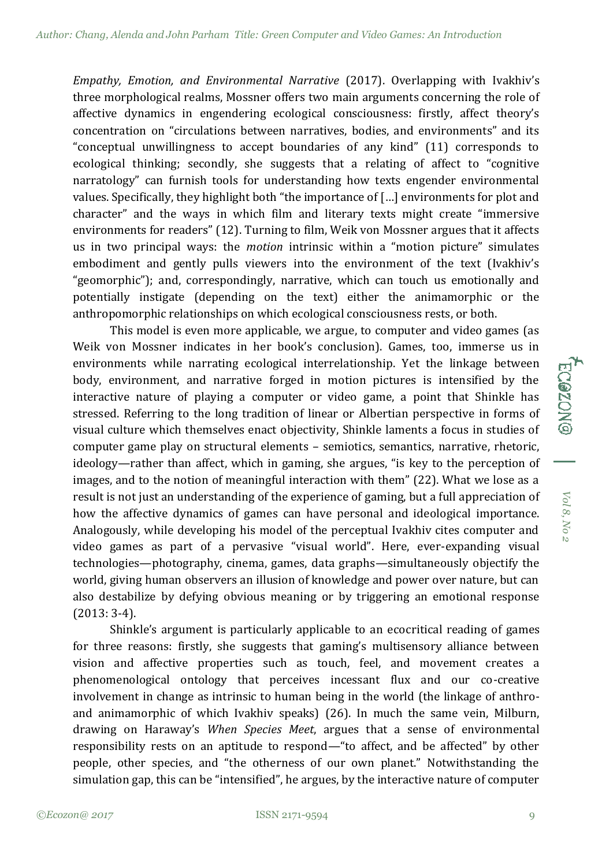*Empathy, Emotion, and Environmental Narrative* (2017). Overlapping with Ivakhiv's three morphological realms, Mossner offers two main arguments concerning the role of affective dynamics in engendering ecological consciousness: firstly, affect theory's concentration on "circulations between narratives, bodies, and environments" and its "conceptual unwillingness to accept boundaries of any kind" (11) corresponds to ecological thinking; secondly, she suggests that a relating of affect to "cognitive narratology" can furnish tools for understanding how texts engender environmental values. Specifically, they highlight both "the importance of […] environments for plot and character" and the ways in which film and literary texts might create "immersive environments for readers" (12). Turning to film, Weik von Mossner argues that it affects us in two principal ways: the *motion* intrinsic within a "motion picture" simulates embodiment and gently pulls viewers into the environment of the text (Ivakhiv's "geomorphic"); and, correspondingly, narrative, which can touch us emotionally and potentially instigate (depending on the text) either the animamorphic or the anthropomorphic relationships on which ecological consciousness rests, or both.

This model is even more applicable, we argue, to computer and video games (as Weik von Mossner indicates in her book's conclusion). Games, too, immerse us in environments while narrating ecological interrelationship. Yet the linkage between body, environment, and narrative forged in motion pictures is intensified by the interactive nature of playing a computer or video game, a point that Shinkle has stressed. Referring to the long tradition of linear or Albertian perspective in forms of visual culture which themselves enact objectivity, Shinkle laments a focus in studies of computer game play on structural elements – semiotics, semantics, narrative, rhetoric, ideology—rather than affect, which in gaming, she argues, "is key to the perception of images, and to the notion of meaningful interaction with them" (22). What we lose as a result is not just an understanding of the experience of gaming, but a full appreciation of how the affective dynamics of games can have personal and ideological importance. Analogously, while developing his model of the perceptual Ivakhiv cites computer and video games as part of a pervasive "visual world". Here, ever-expanding visual technologies—photography, cinema, games, data graphs—simultaneously objectify the world, giving human observers an illusion of knowledge and power over nature, but can also destabilize by defying obvious meaning or by triggering an emotional response (2013: 3-4).

Shinkle's argument is particularly applicable to an ecocritical reading of games for three reasons: firstly, she suggests that gaming's multisensory alliance between vision and affective properties such as touch, feel, and movement creates a phenomenological ontology that perceives incessant flux and our co-creative involvement in change as intrinsic to human being in the world (the linkage of anthroand animamorphic of which Ivakhiv speaks) (26). In much the same vein, Milburn, drawing on Haraway's *When Species Meet*, argues that a sense of environmental responsibility rests on an aptitude to respond—"to affect, and be affected" by other people, other species, and "the otherness of our own planet." Notwithstanding the simulation gap, this can be "intensified", he argues, by the interactive nature of computer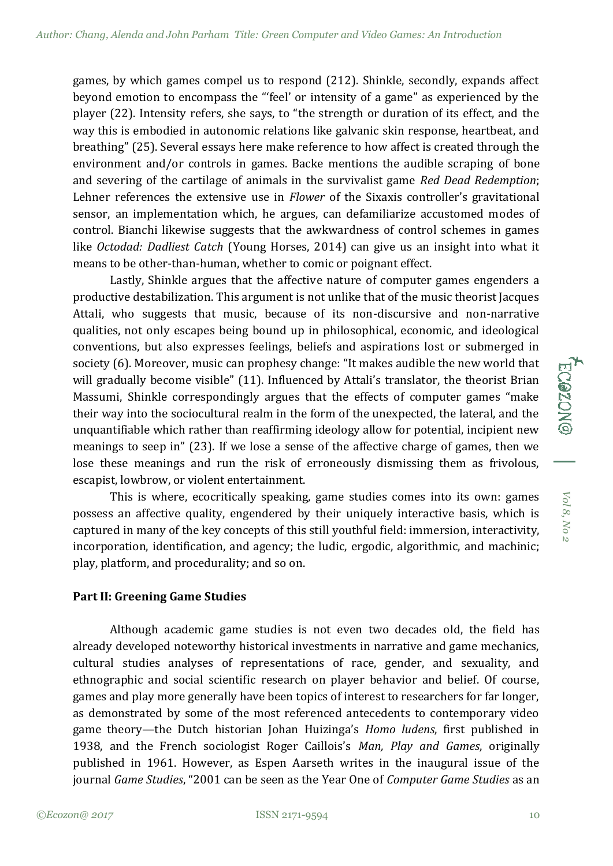games, by which games compel us to respond (212). Shinkle, secondly, expands affect beyond emotion to encompass the "'feel' or intensity of a game" as experienced by the player (22). Intensity refers, she says, to "the strength or duration of its effect, and the way this is embodied in autonomic relations like galvanic skin response, heartbeat, and breathing" (25). Several essays here make reference to how affect is created through the environment and/or controls in games. Backe mentions the audible scraping of bone and severing of the cartilage of animals in the survivalist game *Red Dead Redemption*; Lehner references the extensive use in *Flower* of the Sixaxis controller's gravitational sensor, an implementation which, he argues, can defamiliarize accustomed modes of control. Bianchi likewise suggests that the awkwardness of control schemes in games like *Octodad: Dadliest Catch* (Young Horses, 2014) can give us an insight into what it means to be other-than-human, whether to comic or poignant effect.

Lastly, Shinkle argues that the affective nature of computer games engenders a productive destabilization. This argument is not unlike that of the music theorist Jacques Attali, who suggests that music, because of its non-discursive and non-narrative qualities, not only escapes being bound up in philosophical, economic, and ideological conventions, but also expresses feelings, beliefs and aspirations lost or submerged in society (6). Moreover, music can prophesy change: "It makes audible the new world that will gradually become visible" (11). Influenced by Attali's translator, the theorist Brian Massumi, Shinkle correspondingly argues that the effects of computer games "make their way into the sociocultural realm in the form of the unexpected, the lateral, and the unquantifiable which rather than reaffirming ideology allow for potential, incipient new meanings to seep in" (23). If we lose a sense of the affective charge of games, then we lose these meanings and run the risk of erroneously dismissing them as frivolous, escapist, lowbrow, or violent entertainment.

This is where, ecocritically speaking, game studies comes into its own: games possess an affective quality, engendered by their uniquely interactive basis, which is captured in many of the key concepts of this still youthful field: immersion, interactivity, incorporation, identification, and agency; the ludic, ergodic, algorithmic, and machinic; play, platform, and procedurality; and so on.

## **Part II: Greening Game Studies**

Although academic game studies is not even two decades old, the field has already developed noteworthy historical investments in narrative and game mechanics, cultural studies analyses of representations of race, gender, and sexuality, and ethnographic and social scientific research on player behavior and belief. Of course, games and play more generally have been topics of interest to researchers for far longer, as demonstrated by some of the most referenced antecedents to contemporary video game theory—the Dutch historian Johan Huizinga's *Homo ludens*, first published in 1938, and the French sociologist Roger Caillois's *Man, Play and Games*, originally published in 1961. However, as Espen Aarseth writes in the inaugural issue of the journal *Game Studies*, "2001 can be seen as the Year One of *Computer Game Studies* as an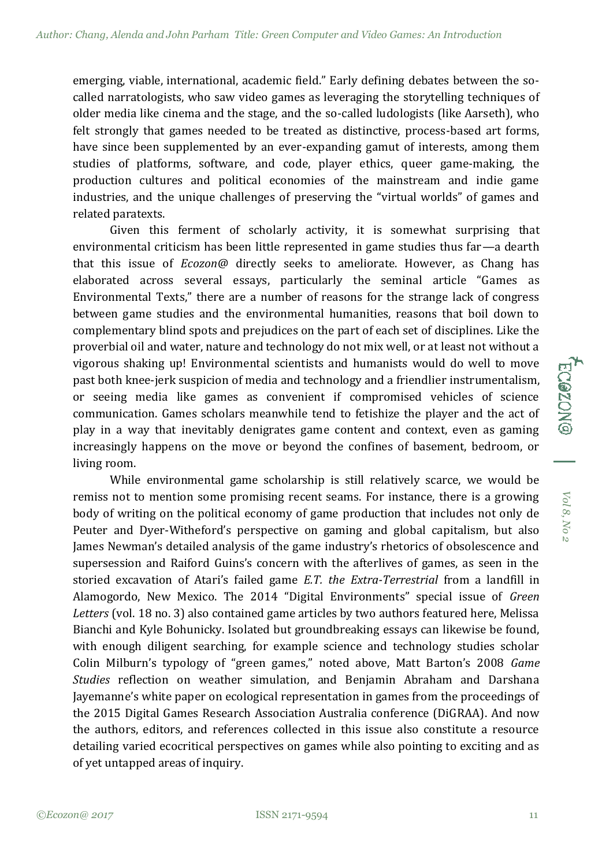emerging, viable, international, academic field." Early defining debates between the socalled narratologists, who saw video games as leveraging the storytelling techniques of older media like cinema and the stage, and the so-called ludologists (like Aarseth), who felt strongly that games needed to be treated as distinctive, process-based art forms, have since been supplemented by an ever-expanding gamut of interests, among them studies of platforms, software, and code, player ethics, queer game-making, the production cultures and political economies of the mainstream and indie game industries, and the unique challenges of preserving the "virtual worlds" of games and related paratexts.

Given this ferment of scholarly activity, it is somewhat surprising that environmental criticism has been little represented in game studies thus far—a dearth that this issue of *Ecozon@* directly seeks to ameliorate. However, as Chang has elaborated across several essays, particularly the seminal article "Games as Environmental Texts," there are a number of reasons for the strange lack of congress between game studies and the environmental humanities, reasons that boil down to complementary blind spots and prejudices on the part of each set of disciplines. Like the proverbial oil and water, nature and technology do not mix well, or at least not without a vigorous shaking up! Environmental scientists and humanists would do well to move past both knee-jerk suspicion of media and technology and a friendlier instrumentalism, or seeing media like games as convenient if compromised vehicles of science communication. Games scholars meanwhile tend to fetishize the player and the act of play in a way that inevitably denigrates game content and context, even as gaming increasingly happens on the move or beyond the confines of basement, bedroom, or living room.

While environmental game scholarship is still relatively scarce, we would be remiss not to mention some promising recent seams. For instance, there is a growing body of writing on the political economy of game production that includes not only de Peuter and Dyer-Witheford's perspective on gaming and global capitalism, but also James Newman's detailed analysis of the game industry's rhetorics of obsolescence and supersession and Raiford Guins's concern with the afterlives of games, as seen in the storied excavation of Atari's failed game *E.T. the Extra-Terrestrial* from a landfill in Alamogordo, New Mexico. The 2014 "Digital Environments" special issue of *Green Letters* (vol. 18 no. 3) also contained game articles by two authors featured here, Melissa Bianchi and Kyle Bohunicky. Isolated but groundbreaking essays can likewise be found, with enough diligent searching, for example science and technology studies scholar Colin Milburn's typology of "green games," noted above, Matt Barton's 2008 *Game Studies* reflection on weather simulation, and Benjamin Abraham and Darshana Jayemanne's white paper on ecological representation in games from the proceedings of the 2015 Digital Games Research Association Australia conference (DiGRAA). And now the authors, editors, and references collected in this issue also constitute a resource detailing varied ecocritical perspectives on games while also pointing to exciting and as of yet untapped areas of inquiry.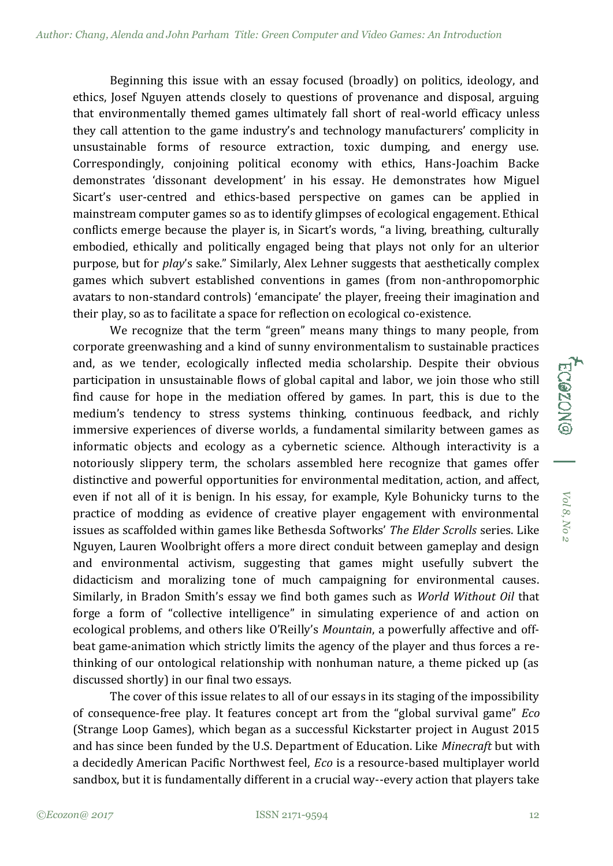Beginning this issue with an essay focused (broadly) on politics, ideology, and ethics, Josef Nguyen attends closely to questions of provenance and disposal, arguing that environmentally themed games ultimately fall short of real-world efficacy unless they call attention to the game industry's and technology manufacturers' complicity in unsustainable forms of resource extraction, toxic dumping, and energy use. Correspondingly, conjoining political economy with ethics, Hans-Joachim Backe demonstrates 'dissonant development' in his essay. He demonstrates how Miguel Sicart's user-centred and ethics-based perspective on games can be applied in mainstream computer games so as to identify glimpses of ecological engagement. Ethical conflicts emerge because the player is, in Sicart's words, "a living, breathing, culturally embodied, ethically and politically engaged being that plays not only for an ulterior purpose, but for *play*'s sake." Similarly, Alex Lehner suggests that aesthetically complex games which subvert established conventions in games (from non-anthropomorphic avatars to non-standard controls) 'emancipate' the player, freeing their imagination and their play, so as to facilitate a space for reflection on ecological co-existence.

We recognize that the term "green" means many things to many people, from corporate greenwashing and a kind of sunny environmentalism to sustainable practices and, as we tender, ecologically inflected media scholarship. Despite their obvious participation in unsustainable flows of global capital and labor, we join those who still find cause for hope in the mediation offered by games. In part, this is due to the medium's tendency to stress systems thinking, continuous feedback, and richly immersive experiences of diverse worlds, a fundamental similarity between games as informatic objects and ecology as a cybernetic science. Although interactivity is a notoriously slippery term, the scholars assembled here recognize that games offer distinctive and powerful opportunities for environmental meditation, action, and affect, even if not all of it is benign. In his essay, for example, Kyle Bohunicky turns to the practice of modding as evidence of creative player engagement with environmental issues as scaffolded within games like Bethesda Softworks' *The Elder Scrolls* series. Like Nguyen, Lauren Woolbright offers a more direct conduit between gameplay and design and environmental activism, suggesting that games might usefully subvert the didacticism and moralizing tone of much campaigning for environmental causes. Similarly, in Bradon Smith's essay we find both games such as *World Without Oil* that forge a form of "collective intelligence" in simulating experience of and action on ecological problems, and others like O'Reilly's *Mountain*, a powerfully affective and offbeat game-animation which strictly limits the agency of the player and thus forces a rethinking of our ontological relationship with nonhuman nature, a theme picked up (as discussed shortly) in our final two essays.

The cover of this issue relates to all of our essays in its staging of the impossibility of consequence-free play. It features concept art from the "global survival game" *Eco* (Strange Loop Games), which began as a successful Kickstarter project in August 2015 and has since been funded by the U.S. Department of Education. Like *Minecraft* but with a decidedly American Pacific Northwest feel, *Eco* is a resource-based multiplayer world sandbox, but it is fundamentally different in a crucial way--every action that players take

*Vol 8, No 2*

Vol 8, No

ECOZON®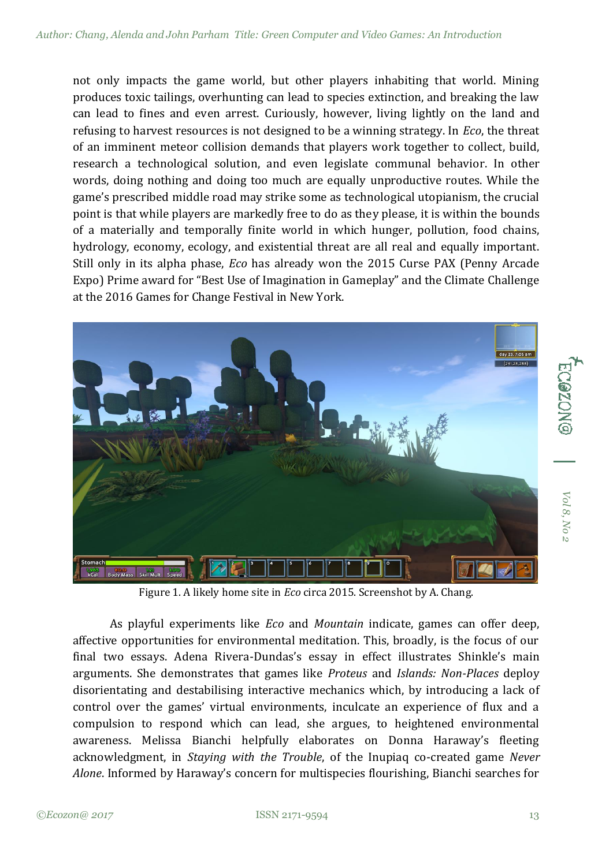not only impacts the game world, but other players inhabiting that world. Mining produces toxic tailings, overhunting can lead to species extinction, and breaking the law can lead to fines and even arrest. Curiously, however, living lightly on the land and refusing to harvest resources is not designed to be a winning strategy. In *Eco*, the threat of an imminent meteor collision demands that players work together to collect, build, research a technological solution, and even legislate communal behavior. In other words, doing nothing and doing too much are equally unproductive routes. While the game's prescribed middle road may strike some as technological utopianism, the crucial point is that while players are markedly free to do as they please, it is within the bounds of a materially and temporally finite world in which hunger, pollution, food chains, hydrology, economy, ecology, and existential threat are all real and equally important. Still only in its alpha phase, *Eco* has already won the 2015 Curse PAX (Penny Arcade Expo) Prime award for "Best Use of Imagination in Gameplay" and the Climate Challenge at the 2016 Games for Change Festival in New York.



Figure 1. A likely home site in *Eco* circa 2015. Screenshot by A. Chang.

As playful experiments like *Eco* and *Mountain* indicate, games can offer deep, affective opportunities for environmental meditation. This, broadly, is the focus of our final two essays. Adena Rivera-Dundas's essay in effect illustrates Shinkle's main arguments. She demonstrates that games like *Proteus* and *Islands: Non-Places* deploy disorientating and destabilising interactive mechanics which, by introducing a lack of control over the games' virtual environments, inculcate an experience of flux and a compulsion to respond which can lead, she argues, to heightened environmental awareness. Melissa Bianchi helpfully elaborates on Donna Haraway's fleeting acknowledgment, in *Staying with the Trouble*, of the Inupiaq co-created game *Never Alone*. Informed by Haraway's concern for multispecies flourishing, Bianchi searches for

*Vol 8, No 2*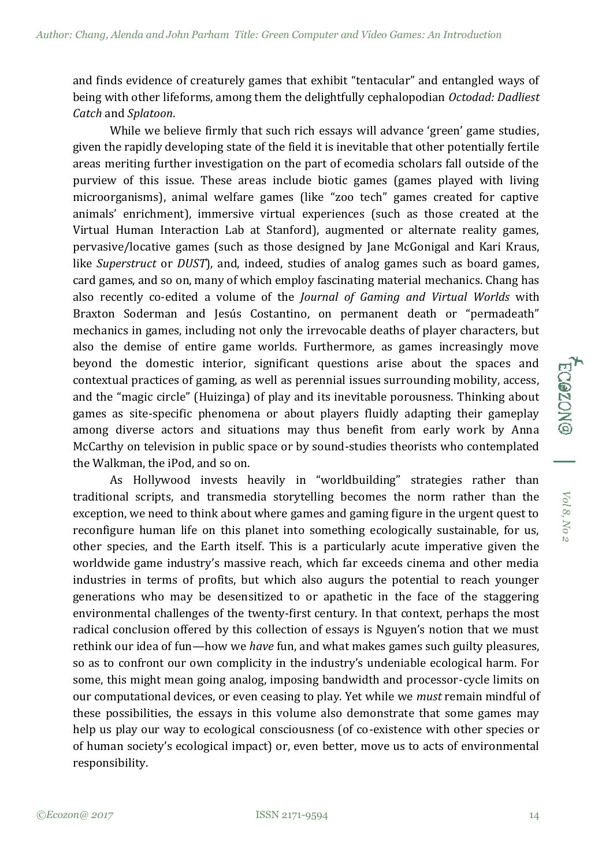and finds evidence of creaturely games that exhibit "tentacular" and entangled ways of being with other lifeforms, among them the delightfully cephalopodian *Octodad: Dadliest Catch* and *Splatoon*.

While we believe firmly that such rich essays will advance 'green' game studies, given the rapidly developing state of the field it is inevitable that other potentially fertile areas meriting further investigation on the part of ecomedia scholars fall outside of the purview of this issue. These areas include biotic games (games played with living microorganisms), animal welfare games (like "zoo tech" games created for captive animals' enrichment), immersive virtual experiences (such as those created at the Virtual Human Interaction Lab at Stanford), augmented or alternate reality games, pervasive/locative games (such as those designed by Jane McGonigal and Kari Kraus, like *Superstruct* or *DUST*), and, indeed, studies of analog games such as board games, card games, and so on, many of which employ fascinating material mechanics. Chang has also recently co-edited a volume of the *Journal of Gaming and Virtual Worlds* with Braxton Soderman and Jesús Costantino, on permanent death or "permadeath" mechanics in games, including not only the irrevocable deaths of player characters, but also the demise of entire game worlds. Furthermore, as games increasingly move beyond the domestic interior, significant questions arise about the spaces and contextual practices of gaming, as well as perennial issues surrounding mobility, access, and the "magic circle" (Huizinga) of play and its inevitable porousness. Thinking about games as site-specific phenomena or about players fluidly adapting their gameplay among diverse actors and situations may thus benefit from early work by Anna McCarthy on television in public space or by sound-studies theorists who contemplated the Walkman, the iPod, and so on.

As Hollywood invests heavily in "worldbuilding" strategies rather than traditional scripts, and transmedia storytelling becomes the norm rather than the exception, we need to think about where games and gaming figure in the urgent quest to reconfigure human life on this planet into something ecologically sustainable, for us, other species, and the Earth itself. This is a particularly acute imperative given the worldwide game industry's massive reach, which far exceeds cinema and other media industries in terms of profits, but which also augurs the potential to reach younger generations who may be desensitized to or apathetic in the face of the staggering environmental challenges of the twenty-first century. In that context, perhaps the most radical conclusion offered by this collection of essays is Nguyen's notion that we must rethink our idea of fun—how we *have* fun, and what makes games such guilty pleasures, so as to confront our own complicity in the industry's undeniable ecological harm. For some, this might mean going analog, imposing bandwidth and processor-cycle limits on our computational devices, or even ceasing to play. Yet while we *must* remain mindful of these possibilities, the essays in this volume also demonstrate that some games may help us play our way to ecological consciousness (of co-existence with other species or of human society's ecological impact) or, even better, move us to acts of environmental responsibility.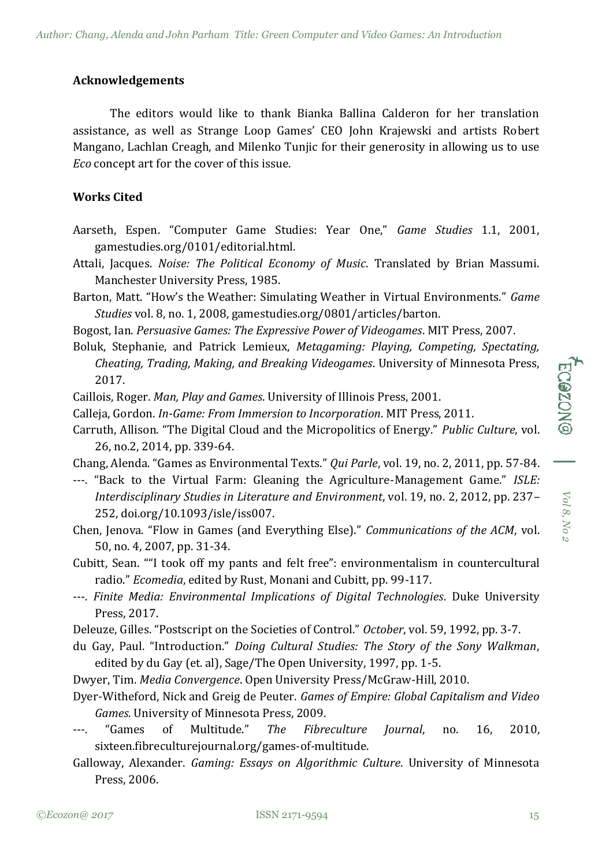## **Acknowledgements**

The editors would like to thank Bianka Ballina Calderon for her translation assistance, as well as Strange Loop Games' CEO John Krajewski and artists Robert Mangano, Lachlan Creagh, and Milenko Tunjic for their generosity in allowing us to use *Eco* concept art for the cover of this issue.

## **Works Cited**

- Aarseth, Espen. "Computer Game Studies: Year One," *Game Studies* 1.1, 2001, gamestudies.org/0101/editorial.html.
- Attali, Jacques. *Noise: The Political Economy of Music*. Translated by Brian Massumi. Manchester University Press, 1985.
- Barton, Matt. "How's the Weather: Simulating Weather in Virtual Environments." *Game Studies* vol. 8, no. 1, 2008, gamestudies.org/0801/articles/barton.
- Bogost, Ian. *Persuasive Games: The Expressive Power of Videogames*. MIT Press, 2007.
- Boluk, Stephanie, and Patrick Lemieux, *Metagaming: Playing, Competing, Spectating, Cheating, Trading, Making, and Breaking Videogames*. University of Minnesota Press, 2017.
- Caillois, Roger. *Man, Play and Games*. University of Illinois Press, 2001.
- Calleja, Gordon. *In-Game: From Immersion to Incorporation*. MIT Press, 2011.
- Carruth, Allison. "The Digital Cloud and the Micropolitics of Energy." *Public Culture*, vol. 26, no.2, 2014, pp. 339-64.
- Chang, Alenda. "Games as Environmental Texts." *Qui Parle*, vol. 19, no. 2, 2011, pp. 57-84.
- ---. "Back to the Virtual Farm: Gleaning the Agriculture-Management Game." *ISLE: Interdisciplinary Studies in Literature and Environment*, vol. 19, no. 2, 2012, pp. 237– 252, doi.org/10.1093/isle/iss007.
- Chen, Jenova. "Flow in Games (and Everything Else)." *Communications of the ACM*, vol. 50, no. 4, 2007, pp. 31-34.
- Cubitt, Sean. ""I took off my pants and felt free": environmentalism in countercultural radio." *Ecomedia*, edited by Rust, Monani and Cubitt, pp. 99-117.
- ---. *Finite Media: Environmental Implications of Digital Technologies*. Duke University Press, 2017.
- Deleuze, Gilles. "Postscript on the Societies of Control." *October*, vol. 59, 1992, pp. 3-7.
- du Gay, Paul. "Introduction." *Doing Cultural Studies: The Story of the Sony Walkman*, edited by du Gay (et. al), Sage/The Open University, 1997, pp. 1-5.
- Dwyer, Tim. *Media Convergence*. Open University Press/McGraw-Hill, 2010.
- Dyer-Witheford, Nick and Greig de Peuter. *Games of Empire: Global Capitalism and Video Games*. University of Minnesota Press, 2009.
- ---. "Games of Multitude." *The Fibreculture Journal*, no. 16, 2010, sixteen.fibreculturejournal.org/games-of-multitude.
- Galloway, Alexander. *Gaming: Essays on Algorithmic Culture*. University of Minnesota Press, 2006.

*Vol 8, No 2*

 $Vol\ 8, No\ z$ 

**ECGZONG**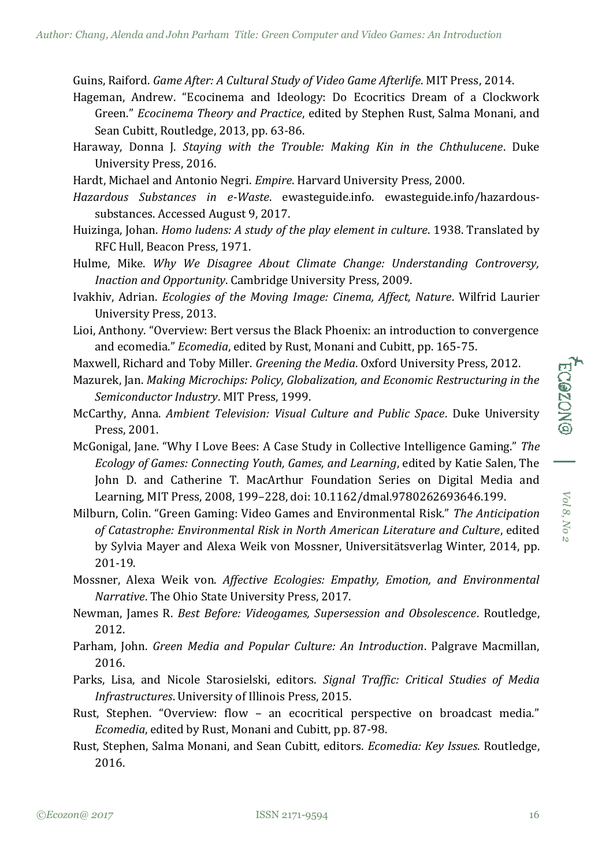Guins, Raiford. *Game After: A Cultural Study of Video Game Afterlife*. MIT Press, 2014.

- Hageman, Andrew. "Ecocinema and Ideology: Do Ecocritics Dream of a Clockwork Green." *Ecocinema Theory and Practice*, edited by Stephen Rust, Salma Monani, and Sean Cubitt, Routledge, 2013, pp. 63-86.
- Haraway, Donna J. *Staying with the Trouble: Making Kin in the Chthulucene*. Duke University Press, 2016.
- Hardt, Michael and Antonio Negri. *Empire*. Harvard University Press, 2000.
- *Hazardous Substances in e-Waste*. ewasteguide.info. ewasteguide.info/hazardoussubstances. Accessed August 9, 2017.
- Huizinga, Johan. *Homo ludens: A study of the play element in culture*. 1938. Translated by RFC Hull, Beacon Press, 1971.
- Hulme, Mike. *Why We Disagree About Climate Change: Understanding Controversy, Inaction and Opportunity*. Cambridge University Press, 2009.
- Ivakhiv, Adrian. *Ecologies of the Moving Image: Cinema, Affect, Nature*. Wilfrid Laurier University Press, 2013.
- Lioi, Anthony. "Overview: Bert versus the Black Phoenix: an introduction to convergence and ecomedia." *Ecomedia*, edited by Rust, Monani and Cubitt, pp. 165-75.
- Maxwell, Richard and Toby Miller. *Greening the Media*. Oxford University Press, 2012.
- Mazurek, Jan. *Making Microchips: Policy, Globalization, and Economic Restructuring in the Semiconductor Industry*. MIT Press, 1999.
- McCarthy, Anna. *Ambient Television: Visual Culture and Public Space*. Duke University Press, 2001.
- McGonigal, Jane. "Why I Love Bees: A Case Study in Collective Intelligence Gaming." *The Ecology of Games: Connecting Youth, Games, and Learning*, edited by Katie Salen, The John D. and Catherine T. MacArthur Foundation Series on Digital Media and Learning, MIT Press, 2008, 199–228, doi: 10.1162/dmal.9780262693646.199.
- Milburn, Colin. "Green Gaming: Video Games and Environmental Risk." *The Anticipation of Catastrophe: Environmental Risk in North American Literature and Culture*, edited by Sylvia Mayer and Alexa Weik von Mossner, Universitätsverlag Winter, 2014, pp. 201-19.
- Mossner, Alexa Weik von. *Affective Ecologies: Empathy, Emotion, and Environmental Narrative*. The Ohio State University Press, 2017.
- Newman, James R. *Best Before: Videogames, Supersession and Obsolescence*. Routledge, 2012.
- Parham, John. *Green Media and Popular Culture: An Introduction*. Palgrave Macmillan, 2016.
- Parks, Lisa, and Nicole Starosielski, editors. *Signal Traffic: Critical Studies of Media Infrastructures*. University of Illinois Press, 2015.
- Rust, Stephen. "Overview: flow an ecocritical perspective on broadcast media." *Ecomedia*, edited by Rust, Monani and Cubitt, pp. 87-98.
- Rust, Stephen, Salma Monani, and Sean Cubitt, editors. *Ecomedia: Key Issues*. Routledge, 2016.

*Vol 8, No 2*

 $Vol$ 8, No 2

ECONONGI